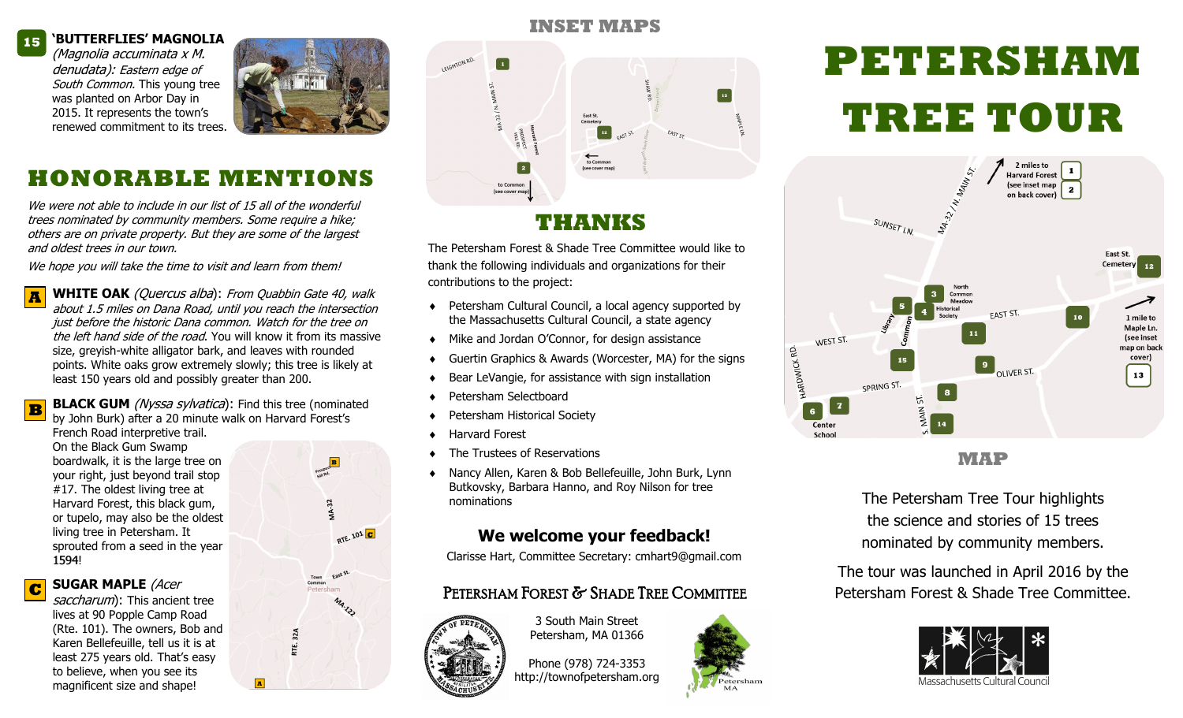#### **'BUTTERFLIES' MAGNOLIA 15**

(Magnolia accuminata x M. denudata): Eastern edge of South Common. This young tree was planted on Arbor Day in 2015. It represents the town's renewed commitment to its trees.



### **HONORABLE MENTIONS**

We were not able to include in our list of 15 all of the wonderful trees nominated by community members. Some require a hike; others are on private property. But they are some of the largest and oldest trees in our town.

We hope you will take the time to visit and learn from them!

**A WHITE OAK** (Quercus alba): From Quabbin Gate 40, walk about 1.5 miles on Dana Road, until you reach the intersection just before the historic Dana common. Watch for the tree on the left hand side of the road. You will know it from its massive size, greyish-white alligator bark, and leaves with rounded points. White oaks grow extremely slowly; this tree is likely at least 150 years old and possibly greater than 200.

**B BLACK GUM** *(Nyssa sylvatica)*: Find this tree (nominated) by John Burk) after a 20 minute walk on Harvard Forest's

French Road interpretive trail. On the Black Gum Swamp boardwalk, it is the large tree on your right, just beyond trail stop #17. The oldest living tree at Harvard Forest, this black gum, or tupelo, may also be the oldest living tree in Petersham. It sprouted from a seed in the year 1594!

**C SUGAR MAPLE** (Acer

saccharum): This ancient tree lives at 90 Popple Camp Road (Rte. 101). The owners, Bob and Karen Bellefeuille, tell us it is at least 275 years old. That's easy to believe, when you see its magnificent size and shape!



32A ξĒ.



#### **THANKS**

The Petersham Forest & Shade Tree Committee would like to thank the following individuals and organizations for their contributions to the project:

- ◆ Petersham Cultural Council, a local agency supported by the Massachusetts Cultural Council, a state agency
- Mike and Jordan O'Connor, for design assistance
- Guertin Graphics & Awards (Worcester, MA) for the signs
- Bear LeVangie, for assistance with sign installation
- Petersham Selectboard
- Petersham Historical Society
- Harvard Forest
- The Trustees of Reservations
- Nancy Allen, Karen & Bob Bellefeuille, John Burk, Lynn Butkovsky, Barbara Hanno, and Roy Nilson for tree nominations

#### **We welcome your feedback!**

Clarisse Hart, Committee Secretary: cmhart9@gmail.com

#### PETERSHAM FOREST & SHADE TREE COMMITTEE



3 South Main Street Petersham, MA 01366

Phone (978) 724-3353 http://townofpetersham.org

# Petersham

## **PETERSHAM TREE TOUR**



**MAP**

The Petersham Tree Tour highlights the science and stories of 15 trees nominated by community members.

The tour was launched in April 2016 by the Petersham Forest & Shade Tree Committee.